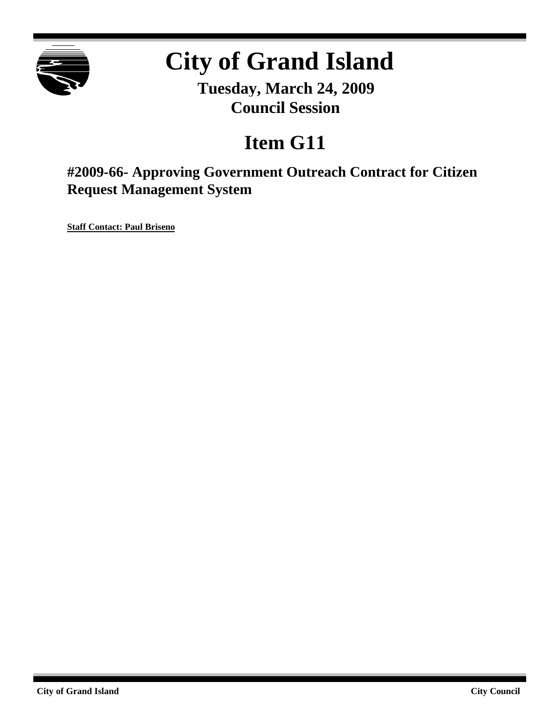

# **City of Grand Island**

**Tuesday, March 24, 2009 Council Session**

## **Item G11**

**#2009-66- Approving Government Outreach Contract for Citizen Request Management System**

**Staff Contact: Paul Briseno**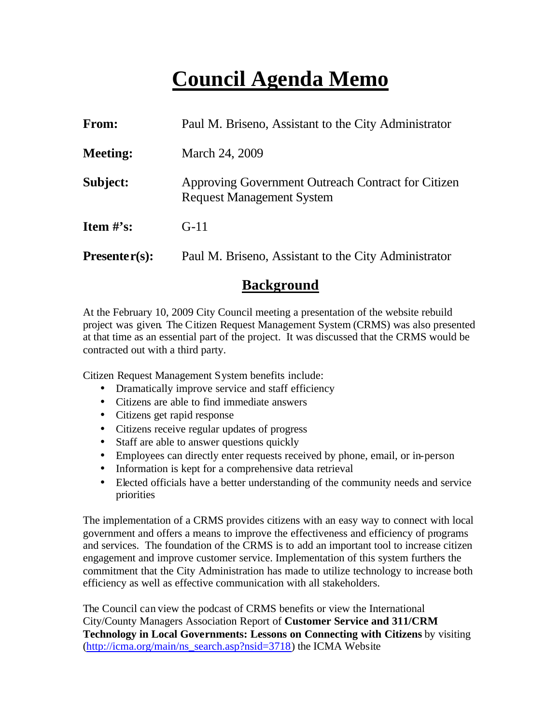## **Council Agenda Memo**

| <b>From:</b>    | Paul M. Briseno, Assistant to the City Administrator                                   |  |  |
|-----------------|----------------------------------------------------------------------------------------|--|--|
| <b>Meeting:</b> | March 24, 2009                                                                         |  |  |
| Subject:        | Approving Government Outreach Contract for Citizen<br><b>Request Management System</b> |  |  |
| Item $\#$ 's:   | $G-11$                                                                                 |  |  |
| $Presenter(s):$ | Paul M. Briseno, Assistant to the City Administrator                                   |  |  |

### **Background**

At the February 10, 2009 City Council meeting a presentation of the website rebuild project was given. The Citizen Request Management System (CRMS) was also presented at that time as an essential part of the project. It was discussed that the CRMS would be contracted out with a third party.

Citizen Request Management System benefits include:

- Dramatically improve service and staff efficiency
- Citizens are able to find immediate answers
- Citizens get rapid response
- Citizens receive regular updates of progress
- Staff are able to answer questions quickly
- Employees can directly enter requests received by phone, email, or in-person
- Information is kept for a comprehensive data retrieval
- Elected officials have a better understanding of the community needs and service priorities

The implementation of a CRMS provides citizens with an easy way to connect with local government and offers a means to improve the effectiveness and efficiency of programs and services. The foundation of the CRMS is to add an important tool to increase citizen engagement and improve customer service. Implementation of this system furthers the commitment that the City Administration has made to utilize technology to increase both efficiency as well as effective communication with all stakeholders.

The Council can view the podcast of CRMS benefits or view the International City/County Managers Association Report of **Customer Service and 311/CRM Technology in Local Governments: Lessons on Connecting with Citizens** by visiting (http://icma.org/main/ns\_search.asp?nsid=3718) the ICMA Website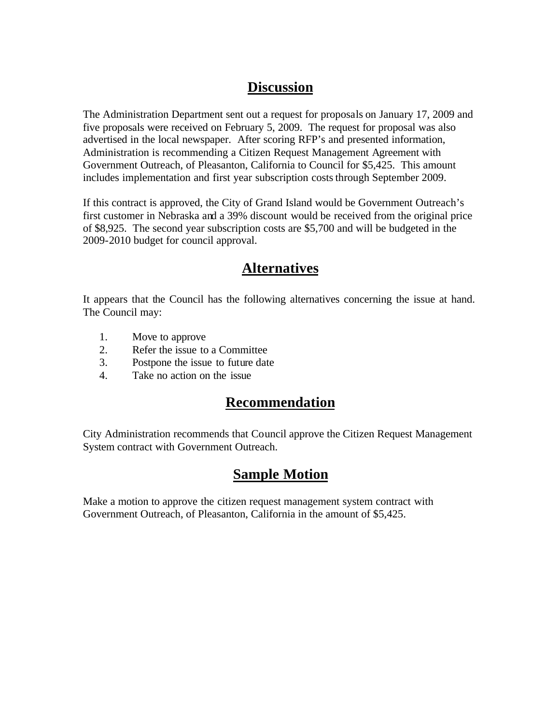## **Discussion**

The Administration Department sent out a request for proposals on January 17, 2009 and five proposals were received on February 5, 2009. The request for proposal was also advertised in the local newspaper. After scoring RFP's and presented information, Administration is recommending a Citizen Request Management Agreement with Government Outreach, of Pleasanton, California to Council for \$5,425. This amount includes implementation and first year subscription costs through September 2009.

If this contract is approved, the City of Grand Island would be Government Outreach's first customer in Nebraska and a 39% discount would be received from the original price of \$8,925. The second year subscription costs are \$5,700 and will be budgeted in the 2009-2010 budget for council approval.

## **Alternatives**

It appears that the Council has the following alternatives concerning the issue at hand. The Council may:

- 1. Move to approve
- 2. Refer the issue to a Committee
- 3. Postpone the issue to future date
- 4. Take no action on the issue

## **Recommendation**

City Administration recommends that Council approve the Citizen Request Management System contract with Government Outreach.

## **Sample Motion**

Make a motion to approve the citizen request management system contract with Government Outreach, of Pleasanton, California in the amount of \$5,425.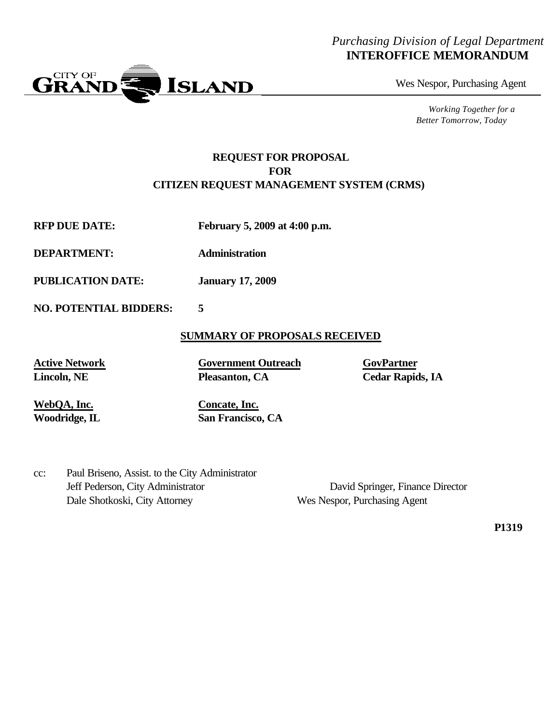#### *Purchasing Division of Legal Department* **INTEROFFICE MEMORANDUM**



Wes Nespor, Purchasing Agent

*Working Together for a Better Tomorrow, Today*

#### **REQUEST FOR PROPOSAL FOR CITIZEN REQUEST MANAGEMENT SYSTEM (CRMS)**

**RFP DUE DATE: February 5, 2009 at 4:00 p.m.**

**DEPARTMENT: Administration**

**PUBLICATION DATE: January 17, 2009**

**NO. POTENTIAL BIDDERS: 5**

#### **SUMMARY OF PROPOSALS RECEIVED**

**Active Network Government Outreach GovPartner Lincoln, NE Pleasanton, CA Cedar Rapids, IA**

**WebQA, Inc. Concate, Inc.**

**Woodridge, IL San Francisco, CA**

cc: Paul Briseno, Assist. to the City Administrator Jeff Pederson, City Administrator David Springer, Finance Director Dale Shotkoski, City Attorney Wes Nespor, Purchasing Agent

**P1319**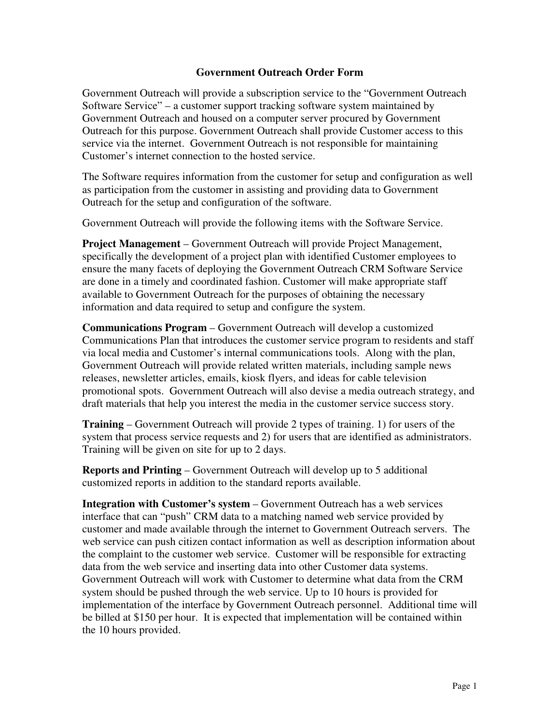#### **Government Outreach Order Form**

Government Outreach will provide a subscription service to the "Government Outreach Software Service" – a customer support tracking software system maintained by Government Outreach and housed on a computer server procured by Government Outreach for this purpose. Government Outreach shall provide Customer access to this service via the internet. Government Outreach is not responsible for maintaining Customer's internet connection to the hosted service.

The Software requires information from the customer for setup and configuration as well as participation from the customer in assisting and providing data to Government Outreach for the setup and configuration of the software.

Government Outreach will provide the following items with the Software Service.

**Project Management** – Government Outreach will provide Project Management, specifically the development of a project plan with identified Customer employees to ensure the many facets of deploying the Government Outreach CRM Software Service are done in a timely and coordinated fashion. Customer will make appropriate staff available to Government Outreach for the purposes of obtaining the necessary information and data required to setup and configure the system.

**Communications Program** – Government Outreach will develop a customized Communications Plan that introduces the customer service program to residents and staff via local media and Customer's internal communications tools. Along with the plan, Government Outreach will provide related written materials, including sample news releases, newsletter articles, emails, kiosk flyers, and ideas for cable television promotional spots. Government Outreach will also devise a media outreach strategy, and draft materials that help you interest the media in the customer service success story.

**Training** – Government Outreach will provide 2 types of training. 1) for users of the system that process service requests and 2) for users that are identified as administrators. Training will be given on site for up to 2 days.

**Reports and Printing** – Government Outreach will develop up to 5 additional customized reports in addition to the standard reports available.

**Integration with Customer's system** – Government Outreach has a web services interface that can "push" CRM data to a matching named web service provided by customer and made available through the internet to Government Outreach servers. The web service can push citizen contact information as well as description information about the complaint to the customer web service. Customer will be responsible for extracting data from the web service and inserting data into other Customer data systems. Government Outreach will work with Customer to determine what data from the CRM system should be pushed through the web service. Up to 10 hours is provided for implementation of the interface by Government Outreach personnel. Additional time will be billed at \$150 per hour. It is expected that implementation will be contained within the 10 hours provided.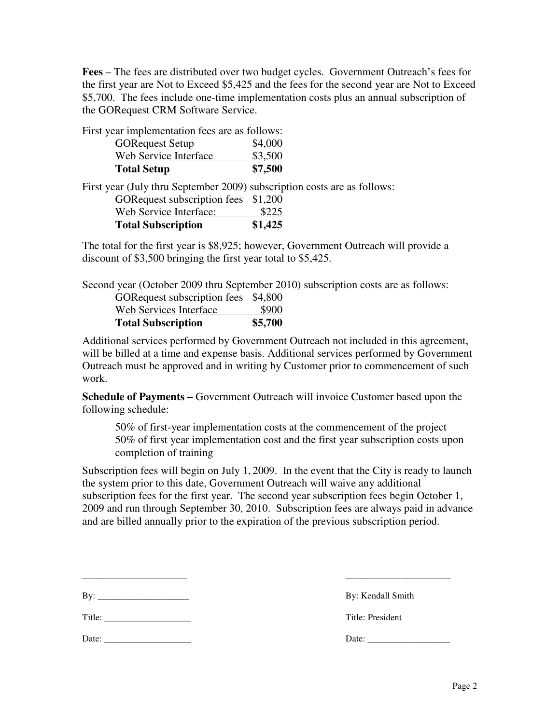**Fees** – The fees are distributed over two budget cycles. Government Outreach's fees for the first year are Not to Exceed \$5,425 and the fees for the second year are Not to Exceed \$5,700. The fees include one-time implementation costs plus an annual subscription of the GORequest CRM Software Service.

First year implementation fees are as follows:

| <b>Total Setup</b>      | \$7,500 |
|-------------------------|---------|
| Web Service Interface   | \$3,500 |
| <b>GOR</b> equest Setup | \$4,000 |

First year (July thru September 2009) subscription costs are as follows:

| <b>Total Subscription</b>    | \$1,425 |
|------------------------------|---------|
| Web Service Interface:       | \$225   |
| GOR equest subscription fees | \$1,200 |

The total for the first year is \$8,925; however, Government Outreach will provide a discount of \$3,500 bringing the first year total to \$5,425.

Second year (October 2009 thru September 2010) subscription costs are as follows:

| <b>Total Subscription</b>    | \$5,700 |
|------------------------------|---------|
| Web Services Interface       | \$900   |
| GOR equest subscription fees | \$4,800 |

Additional services performed by Government Outreach not included in this agreement, will be billed at a time and expense basis. Additional services performed by Government Outreach must be approved and in writing by Customer prior to commencement of such work.

**Schedule of Payments –** Government Outreach will invoice Customer based upon the following schedule:

50% of first-year implementation costs at the commencement of the project 50% of first year implementation cost and the first year subscription costs upon completion of training

Subscription fees will begin on July 1, 2009. In the event that the City is ready to launch the system prior to this date, Government Outreach will waive any additional subscription fees for the first year. The second year subscription fees begin October 1, 2009 and run through September 30, 2010. Subscription fees are always paid in advance and are billed annually prior to the expiration of the previous subscription period.

\_\_\_\_\_\_\_\_\_\_\_\_\_\_\_\_\_\_\_\_\_\_\_ \_\_\_\_\_\_\_\_\_\_\_\_\_\_\_\_\_\_\_\_\_\_\_

| Bv: |  |  |  |
|-----|--|--|--|

Title: The contract of the contract of the contract of the contract of the contract of the contract of the contract of the contract of the contract of the contract of the contract of the contract of the contract of the con

By: Kendall Smith

Date: \_\_\_\_\_\_\_\_\_\_\_\_\_\_\_\_\_\_\_ Date: \_\_\_\_\_\_\_\_\_\_\_\_\_\_\_\_\_\_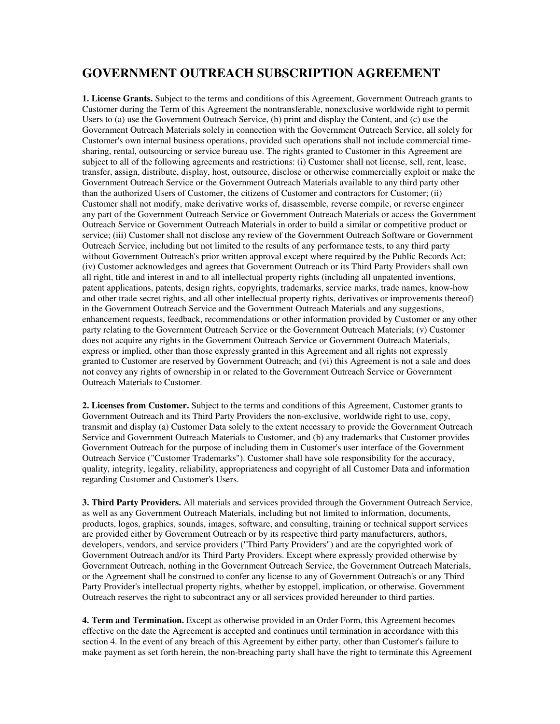#### **GOVERNMENT OUTREACH SUBSCRIPTION AGREEMENT**

**1. License Grants.** Subject to the terms and conditions of this Agreement, Government Outreach grants to Customer during the Term of this Agreement the nontransferable, nonexclusive worldwide right to permit Users to (a) use the Government Outreach Service, (b) print and display the Content, and (c) use the Government Outreach Materials solely in connection with the Government Outreach Service, all solely for Customer's own internal business operations, provided such operations shall not include commercial timesharing, rental, outsourcing or service bureau use. The rights granted to Customer in this Agreement are subject to all of the following agreements and restrictions: (i) Customer shall not license, sell, rent, lease, transfer, assign, distribute, display, host, outsource, disclose or otherwise commercially exploit or make the Government Outreach Service or the Government Outreach Materials available to any third party other than the authorized Users of Customer, the citizens of Customer and contractors for Customer; (ii) Customer shall not modify, make derivative works of, disassemble, reverse compile, or reverse engineer any part of the Government Outreach Service or Government Outreach Materials or access the Government Outreach Service or Government Outreach Materials in order to build a similar or competitive product or service; (iii) Customer shall not disclose any review of the Government Outreach Software or Government Outreach Service, including but not limited to the results of any performance tests, to any third party without Government Outreach's prior written approval except where required by the Public Records Act; (iv) Customer acknowledges and agrees that Government Outreach or its Third Party Providers shall own all right, title and interest in and to all intellectual property rights (including all unpatented inventions, patent applications, patents, design rights, copyrights, trademarks, service marks, trade names, know-how and other trade secret rights, and all other intellectual property rights, derivatives or improvements thereof) in the Government Outreach Service and the Government Outreach Materials and any suggestions, enhancement requests, feedback, recommendations or other information provided by Customer or any other party relating to the Government Outreach Service or the Government Outreach Materials; (v) Customer does not acquire any rights in the Government Outreach Service or Government Outreach Materials, express or implied, other than those expressly granted in this Agreement and all rights not expressly granted to Customer are reserved by Government Outreach; and (vi) this Agreement is not a sale and does not convey any rights of ownership in or related to the Government Outreach Service or Government Outreach Materials to Customer.

**2. Licenses from Customer.** Subject to the terms and conditions of this Agreement, Customer grants to Government Outreach and its Third Party Providers the non-exclusive, worldwide right to use, copy, transmit and display (a) Customer Data solely to the extent necessary to provide the Government Outreach Service and Government Outreach Materials to Customer, and (b) any trademarks that Customer provides Government Outreach for the purpose of including them in Customer's user interface of the Government Outreach Service ("Customer Trademarks"). Customer shall have sole responsibility for the accuracy, quality, integrity, legality, reliability, appropriateness and copyright of all Customer Data and information regarding Customer and Customer's Users.

**3. Third Party Providers.** All materials and services provided through the Government Outreach Service, as well as any Government Outreach Materials, including but not limited to information, documents, products, logos, graphics, sounds, images, software, and consulting, training or technical support services are provided either by Government Outreach or by its respective third party manufacturers, authors, developers, vendors, and service providers ("Third Party Providers") and are the copyrighted work of Government Outreach and/or its Third Party Providers. Except where expressly provided otherwise by Government Outreach, nothing in the Government Outreach Service, the Government Outreach Materials, or the Agreement shall be construed to confer any license to any of Government Outreach's or any Third Party Provider's intellectual property rights, whether by estoppel, implication, or otherwise. Government Outreach reserves the right to subcontract any or all services provided hereunder to third parties.

**4. Term and Termination.** Except as otherwise provided in an Order Form, this Agreement becomes effective on the date the Agreement is accepted and continues until termination in accordance with this section 4. In the event of any breach of this Agreement by either party, other than Customer's failure to make payment as set forth herein, the non-breaching party shall have the right to terminate this Agreement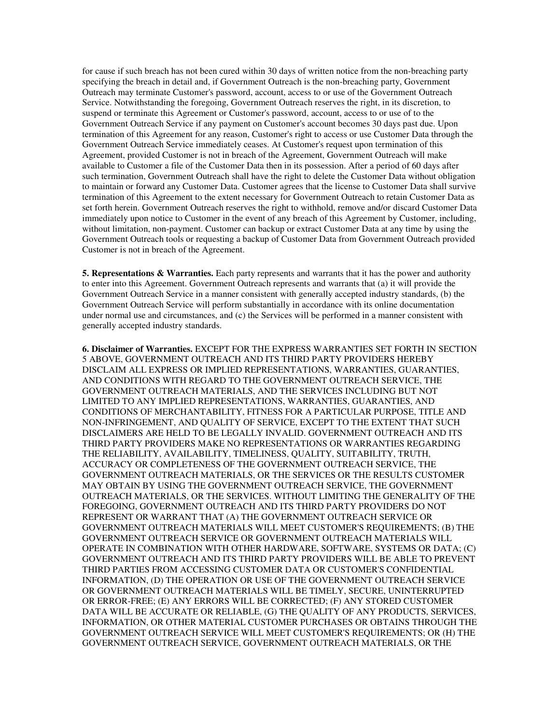for cause if such breach has not been cured within 30 days of written notice from the non-breaching party specifying the breach in detail and, if Government Outreach is the non-breaching party, Government Outreach may terminate Customer's password, account, access to or use of the Government Outreach Service. Notwithstanding the foregoing, Government Outreach reserves the right, in its discretion, to suspend or terminate this Agreement or Customer's password, account, access to or use of to the Government Outreach Service if any payment on Customer's account becomes 30 days past due. Upon termination of this Agreement for any reason, Customer's right to access or use Customer Data through the Government Outreach Service immediately ceases. At Customer's request upon termination of this Agreement, provided Customer is not in breach of the Agreement, Government Outreach will make available to Customer a file of the Customer Data then in its possession. After a period of 60 days after such termination, Government Outreach shall have the right to delete the Customer Data without obligation to maintain or forward any Customer Data. Customer agrees that the license to Customer Data shall survive termination of this Agreement to the extent necessary for Government Outreach to retain Customer Data as set forth herein. Government Outreach reserves the right to withhold, remove and/or discard Customer Data immediately upon notice to Customer in the event of any breach of this Agreement by Customer, including, without limitation, non-payment. Customer can backup or extract Customer Data at any time by using the Government Outreach tools or requesting a backup of Customer Data from Government Outreach provided Customer is not in breach of the Agreement.

**5. Representations & Warranties.** Each party represents and warrants that it has the power and authority to enter into this Agreement. Government Outreach represents and warrants that (a) it will provide the Government Outreach Service in a manner consistent with generally accepted industry standards, (b) the Government Outreach Service will perform substantially in accordance with its online documentation under normal use and circumstances, and (c) the Services will be performed in a manner consistent with generally accepted industry standards.

**6. Disclaimer of Warranties.** EXCEPT FOR THE EXPRESS WARRANTIES SET FORTH IN SECTION 5 ABOVE, GOVERNMENT OUTREACH AND ITS THIRD PARTY PROVIDERS HEREBY DISCLAIM ALL EXPRESS OR IMPLIED REPRESENTATIONS, WARRANTIES, GUARANTIES, AND CONDITIONS WITH REGARD TO THE GOVERNMENT OUTREACH SERVICE, THE GOVERNMENT OUTREACH MATERIALS, AND THE SERVICES INCLUDING BUT NOT LIMITED TO ANY IMPLIED REPRESENTATIONS, WARRANTIES, GUARANTIES, AND CONDITIONS OF MERCHANTABILITY, FITNESS FOR A PARTICULAR PURPOSE, TITLE AND NON-INFRINGEMENT, AND QUALITY OF SERVICE, EXCEPT TO THE EXTENT THAT SUCH DISCLAIMERS ARE HELD TO BE LEGALLY INVALID. GOVERNMENT OUTREACH AND ITS THIRD PARTY PROVIDERS MAKE NO REPRESENTATIONS OR WARRANTIES REGARDING THE RELIABILITY, AVAILABILITY, TIMELINESS, QUALITY, SUITABILITY, TRUTH, ACCURACY OR COMPLETENESS OF THE GOVERNMENT OUTREACH SERVICE, THE GOVERNMENT OUTREACH MATERIALS, OR THE SERVICES OR THE RESULTS CUSTOMER MAY OBTAIN BY USING THE GOVERNMENT OUTREACH SERVICE, THE GOVERNMENT OUTREACH MATERIALS, OR THE SERVICES. WITHOUT LIMITING THE GENERALITY OF THE FOREGOING, GOVERNMENT OUTREACH AND ITS THIRD PARTY PROVIDERS DO NOT REPRESENT OR WARRANT THAT (A) THE GOVERNMENT OUTREACH SERVICE OR GOVERNMENT OUTREACH MATERIALS WILL MEET CUSTOMER'S REQUIREMENTS; (B) THE GOVERNMENT OUTREACH SERVICE OR GOVERNMENT OUTREACH MATERIALS WILL OPERATE IN COMBINATION WITH OTHER HARDWARE, SOFTWARE, SYSTEMS OR DATA; (C) GOVERNMENT OUTREACH AND ITS THIRD PARTY PROVIDERS WILL BE ABLE TO PREVENT THIRD PARTIES FROM ACCESSING CUSTOMER DATA OR CUSTOMER'S CONFIDENTIAL INFORMATION, (D) THE OPERATION OR USE OF THE GOVERNMENT OUTREACH SERVICE OR GOVERNMENT OUTREACH MATERIALS WILL BE TIMELY, SECURE, UNINTERRUPTED OR ERROR-FREE; (E) ANY ERRORS WILL BE CORRECTED; (F) ANY STORED CUSTOMER DATA WILL BE ACCURATE OR RELIABLE, (G) THE QUALITY OF ANY PRODUCTS, SERVICES, INFORMATION, OR OTHER MATERIAL CUSTOMER PURCHASES OR OBTAINS THROUGH THE GOVERNMENT OUTREACH SERVICE WILL MEET CUSTOMER'S REQUIREMENTS; OR (H) THE GOVERNMENT OUTREACH SERVICE, GOVERNMENT OUTREACH MATERIALS, OR THE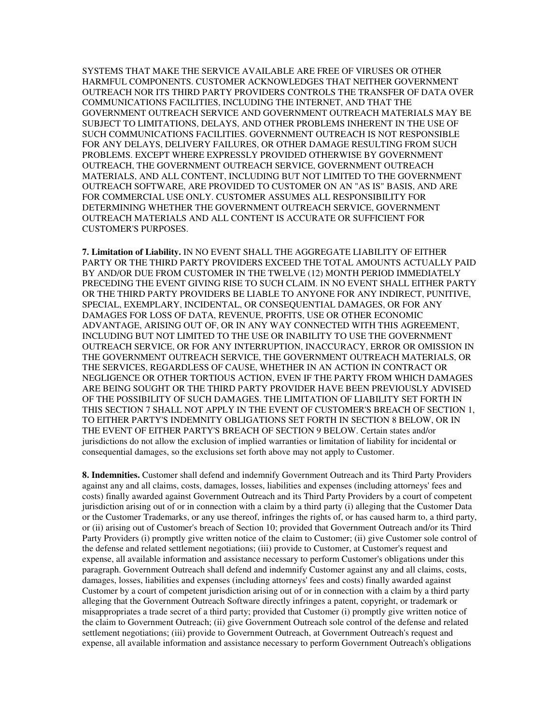SYSTEMS THAT MAKE THE SERVICE AVAILABLE ARE FREE OF VIRUSES OR OTHER HARMFUL COMPONENTS. CUSTOMER ACKNOWLEDGES THAT NEITHER GOVERNMENT OUTREACH NOR ITS THIRD PARTY PROVIDERS CONTROLS THE TRANSFER OF DATA OVER COMMUNICATIONS FACILITIES, INCLUDING THE INTERNET, AND THAT THE GOVERNMENT OUTREACH SERVICE AND GOVERNMENT OUTREACH MATERIALS MAY BE SUBJECT TO LIMITATIONS, DELAYS, AND OTHER PROBLEMS INHERENT IN THE USE OF SUCH COMMUNICATIONS FACILITIES. GOVERNMENT OUTREACH IS NOT RESPONSIBLE FOR ANY DELAYS, DELIVERY FAILURES, OR OTHER DAMAGE RESULTING FROM SUCH PROBLEMS. EXCEPT WHERE EXPRESSLY PROVIDED OTHERWISE BY GOVERNMENT OUTREACH, THE GOVERNMENT OUTREACH SERVICE, GOVERNMENT OUTREACH MATERIALS, AND ALL CONTENT, INCLUDING BUT NOT LIMITED TO THE GOVERNMENT OUTREACH SOFTWARE, ARE PROVIDED TO CUSTOMER ON AN "AS IS" BASIS, AND ARE FOR COMMERCIAL USE ONLY. CUSTOMER ASSUMES ALL RESPONSIBILITY FOR DETERMINING WHETHER THE GOVERNMENT OUTREACH SERVICE, GOVERNMENT OUTREACH MATERIALS AND ALL CONTENT IS ACCURATE OR SUFFICIENT FOR CUSTOMER'S PURPOSES.

**7. Limitation of Liability.** IN NO EVENT SHALL THE AGGREGATE LIABILITY OF EITHER PARTY OR THE THIRD PARTY PROVIDERS EXCEED THE TOTAL AMOUNTS ACTUALLY PAID BY AND/OR DUE FROM CUSTOMER IN THE TWELVE (12) MONTH PERIOD IMMEDIATELY PRECEDING THE EVENT GIVING RISE TO SUCH CLAIM. IN NO EVENT SHALL EITHER PARTY OR THE THIRD PARTY PROVIDERS BE LIABLE TO ANYONE FOR ANY INDIRECT, PUNITIVE, SPECIAL, EXEMPLARY, INCIDENTAL, OR CONSEQUENTIAL DAMAGES, OR FOR ANY DAMAGES FOR LOSS OF DATA, REVENUE, PROFITS, USE OR OTHER ECONOMIC ADVANTAGE, ARISING OUT OF, OR IN ANY WAY CONNECTED WITH THIS AGREEMENT, INCLUDING BUT NOT LIMITED TO THE USE OR INABILITY TO USE THE GOVERNMENT OUTREACH SERVICE, OR FOR ANY INTERRUPTION, INACCURACY, ERROR OR OMISSION IN THE GOVERNMENT OUTREACH SERVICE, THE GOVERNMENT OUTREACH MATERIALS, OR THE SERVICES, REGARDLESS OF CAUSE, WHETHER IN AN ACTION IN CONTRACT OR NEGLIGENCE OR OTHER TORTIOUS ACTION, EVEN IF THE PARTY FROM WHICH DAMAGES ARE BEING SOUGHT OR THE THIRD PARTY PROVIDER HAVE BEEN PREVIOUSLY ADVISED OF THE POSSIBILITY OF SUCH DAMAGES. THE LIMITATION OF LIABILITY SET FORTH IN THIS SECTION 7 SHALL NOT APPLY IN THE EVENT OF CUSTOMER'S BREACH OF SECTION 1, TO EITHER PARTY'S INDEMNITY OBLIGATIONS SET FORTH IN SECTION 8 BELOW, OR IN THE EVENT OF EITHER PARTY'S BREACH OF SECTION 9 BELOW. Certain states and/or jurisdictions do not allow the exclusion of implied warranties or limitation of liability for incidental or consequential damages, so the exclusions set forth above may not apply to Customer.

**8. Indemnities.** Customer shall defend and indemnify Government Outreach and its Third Party Providers against any and all claims, costs, damages, losses, liabilities and expenses (including attorneys' fees and costs) finally awarded against Government Outreach and its Third Party Providers by a court of competent jurisdiction arising out of or in connection with a claim by a third party (i) alleging that the Customer Data or the Customer Trademarks, or any use thereof, infringes the rights of, or has caused harm to, a third party, or (ii) arising out of Customer's breach of Section 10; provided that Government Outreach and/or its Third Party Providers (i) promptly give written notice of the claim to Customer; (ii) give Customer sole control of the defense and related settlement negotiations; (iii) provide to Customer, at Customer's request and expense, all available information and assistance necessary to perform Customer's obligations under this paragraph. Government Outreach shall defend and indemnify Customer against any and all claims, costs, damages, losses, liabilities and expenses (including attorneys' fees and costs) finally awarded against Customer by a court of competent jurisdiction arising out of or in connection with a claim by a third party alleging that the Government Outreach Software directly infringes a patent, copyright, or trademark or misappropriates a trade secret of a third party; provided that Customer (i) promptly give written notice of the claim to Government Outreach; (ii) give Government Outreach sole control of the defense and related settlement negotiations; (iii) provide to Government Outreach, at Government Outreach's request and expense, all available information and assistance necessary to perform Government Outreach's obligations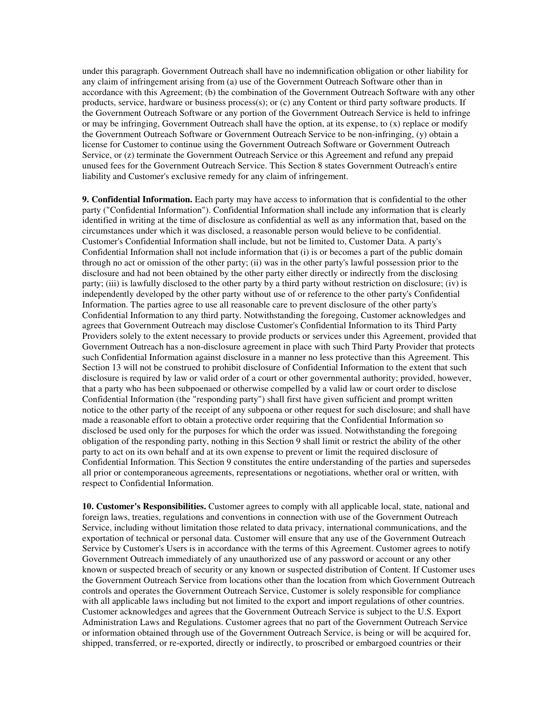under this paragraph. Government Outreach shall have no indemnification obligation or other liability for any claim of infringement arising from (a) use of the Government Outreach Software other than in accordance with this Agreement; (b) the combination of the Government Outreach Software with any other products, service, hardware or business process(s); or (c) any Content or third party software products. If the Government Outreach Software or any portion of the Government Outreach Service is held to infringe or may be infringing, Government Outreach shall have the option, at its expense, to (x) replace or modify the Government Outreach Software or Government Outreach Service to be non-infringing, (y) obtain a license for Customer to continue using the Government Outreach Software or Government Outreach Service, or (z) terminate the Government Outreach Service or this Agreement and refund any prepaid unused fees for the Government Outreach Service. This Section 8 states Government Outreach's entire liability and Customer's exclusive remedy for any claim of infringement.

**9. Confidential Information.** Each party may have access to information that is confidential to the other party ("Confidential Information"). Confidential Information shall include any information that is clearly identified in writing at the time of disclosure as confidential as well as any information that, based on the circumstances under which it was disclosed, a reasonable person would believe to be confidential. Customer's Confidential Information shall include, but not be limited to, Customer Data. A party's Confidential Information shall not include information that (i) is or becomes a part of the public domain through no act or omission of the other party; (ii) was in the other party's lawful possession prior to the disclosure and had not been obtained by the other party either directly or indirectly from the disclosing party; (iii) is lawfully disclosed to the other party by a third party without restriction on disclosure; (iv) is independently developed by the other party without use of or reference to the other party's Confidential Information. The parties agree to use all reasonable care to prevent disclosure of the other party's Confidential Information to any third party. Notwithstanding the foregoing, Customer acknowledges and agrees that Government Outreach may disclose Customer's Confidential Information to its Third Party Providers solely to the extent necessary to provide products or services under this Agreement, provided that Government Outreach has a non-disclosure agreement in place with such Third Party Provider that protects such Confidential Information against disclosure in a manner no less protective than this Agreement. This Section 13 will not be construed to prohibit disclosure of Confidential Information to the extent that such disclosure is required by law or valid order of a court or other governmental authority; provided, however, that a party who has been subpoenaed or otherwise compelled by a valid law or court order to disclose Confidential Information (the "responding party") shall first have given sufficient and prompt written notice to the other party of the receipt of any subpoena or other request for such disclosure; and shall have made a reasonable effort to obtain a protective order requiring that the Confidential Information so disclosed be used only for the purposes for which the order was issued. Notwithstanding the foregoing obligation of the responding party, nothing in this Section 9 shall limit or restrict the ability of the other party to act on its own behalf and at its own expense to prevent or limit the required disclosure of Confidential Information. This Section 9 constitutes the entire understanding of the parties and supersedes all prior or contemporaneous agreements, representations or negotiations, whether oral or written, with respect to Confidential Information.

**10. Customer's Responsibilities.** Customer agrees to comply with all applicable local, state, national and foreign laws, treaties, regulations and conventions in connection with use of the Government Outreach Service, including without limitation those related to data privacy, international communications, and the exportation of technical or personal data. Customer will ensure that any use of the Government Outreach Service by Customer's Users is in accordance with the terms of this Agreement. Customer agrees to notify Government Outreach immediately of any unauthorized use of any password or account or any other known or suspected breach of security or any known or suspected distribution of Content. If Customer uses the Government Outreach Service from locations other than the location from which Government Outreach controls and operates the Government Outreach Service, Customer is solely responsible for compliance with all applicable laws including but not limited to the export and import regulations of other countries. Customer acknowledges and agrees that the Government Outreach Service is subject to the U.S. Export Administration Laws and Regulations. Customer agrees that no part of the Government Outreach Service or information obtained through use of the Government Outreach Service, is being or will be acquired for, shipped, transferred, or re-exported, directly or indirectly, to proscribed or embargoed countries or their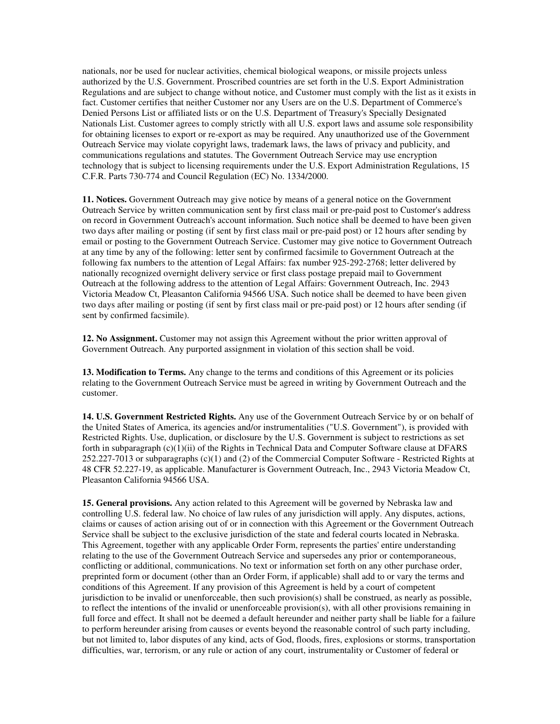nationals, nor be used for nuclear activities, chemical biological weapons, or missile projects unless authorized by the U.S. Government. Proscribed countries are set forth in the U.S. Export Administration Regulations and are subject to change without notice, and Customer must comply with the list as it exists in fact. Customer certifies that neither Customer nor any Users are on the U.S. Department of Commerce's Denied Persons List or affiliated lists or on the U.S. Department of Treasury's Specially Designated Nationals List. Customer agrees to comply strictly with all U.S. export laws and assume sole responsibility for obtaining licenses to export or re-export as may be required. Any unauthorized use of the Government Outreach Service may violate copyright laws, trademark laws, the laws of privacy and publicity, and communications regulations and statutes. The Government Outreach Service may use encryption technology that is subject to licensing requirements under the U.S. Export Administration Regulations, 15 C.F.R. Parts 730-774 and Council Regulation (EC) No. 1334/2000.

**11. Notices.** Government Outreach may give notice by means of a general notice on the Government Outreach Service by written communication sent by first class mail or pre-paid post to Customer's address on record in Government Outreach's account information. Such notice shall be deemed to have been given two days after mailing or posting (if sent by first class mail or pre-paid post) or 12 hours after sending by email or posting to the Government Outreach Service. Customer may give notice to Government Outreach at any time by any of the following: letter sent by confirmed facsimile to Government Outreach at the following fax numbers to the attention of Legal Affairs: fax number 925-292-2768; letter delivered by nationally recognized overnight delivery service or first class postage prepaid mail to Government Outreach at the following address to the attention of Legal Affairs: Government Outreach, Inc. 2943 Victoria Meadow Ct, Pleasanton California 94566 USA. Such notice shall be deemed to have been given two days after mailing or posting (if sent by first class mail or pre-paid post) or 12 hours after sending (if sent by confirmed facsimile).

**12. No Assignment.** Customer may not assign this Agreement without the prior written approval of Government Outreach. Any purported assignment in violation of this section shall be void.

**13. Modification to Terms.** Any change to the terms and conditions of this Agreement or its policies relating to the Government Outreach Service must be agreed in writing by Government Outreach and the customer.

**14. U.S. Government Restricted Rights.** Any use of the Government Outreach Service by or on behalf of the United States of America, its agencies and/or instrumentalities ("U.S. Government"), is provided with Restricted Rights. Use, duplication, or disclosure by the U.S. Government is subject to restrictions as set forth in subparagraph  $(c)(1)(ii)$  of the Rights in Technical Data and Computer Software clause at DFARS 252.227-7013 or subparagraphs (c)(1) and (2) of the Commercial Computer Software - Restricted Rights at 48 CFR 52.227-19, as applicable. Manufacturer is Government Outreach, Inc., 2943 Victoria Meadow Ct, Pleasanton California 94566 USA.

**15. General provisions.** Any action related to this Agreement will be governed by Nebraska law and controlling U.S. federal law. No choice of law rules of any jurisdiction will apply. Any disputes, actions, claims or causes of action arising out of or in connection with this Agreement or the Government Outreach Service shall be subject to the exclusive jurisdiction of the state and federal courts located in Nebraska. This Agreement, together with any applicable Order Form, represents the parties' entire understanding relating to the use of the Government Outreach Service and supersedes any prior or contemporaneous, conflicting or additional, communications. No text or information set forth on any other purchase order, preprinted form or document (other than an Order Form, if applicable) shall add to or vary the terms and conditions of this Agreement. If any provision of this Agreement is held by a court of competent jurisdiction to be invalid or unenforceable, then such provision(s) shall be construed, as nearly as possible, to reflect the intentions of the invalid or unenforceable provision(s), with all other provisions remaining in full force and effect. It shall not be deemed a default hereunder and neither party shall be liable for a failure to perform hereunder arising from causes or events beyond the reasonable control of such party including, but not limited to, labor disputes of any kind, acts of God, floods, fires, explosions or storms, transportation difficulties, war, terrorism, or any rule or action of any court, instrumentality or Customer of federal or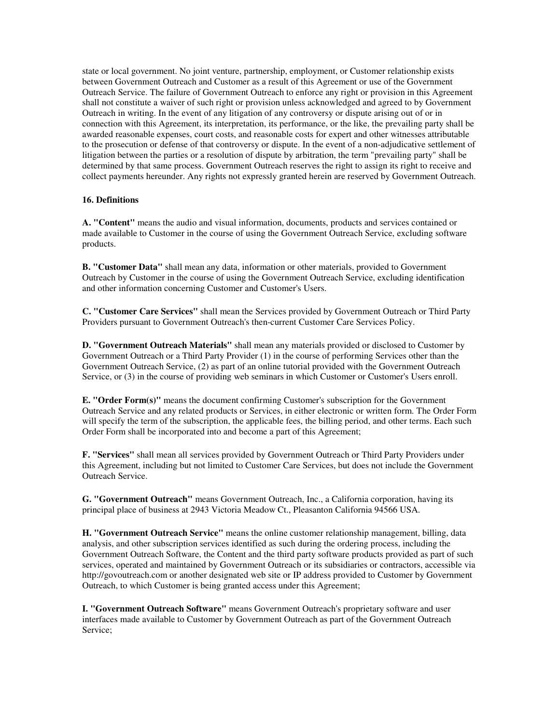state or local government. No joint venture, partnership, employment, or Customer relationship exists between Government Outreach and Customer as a result of this Agreement or use of the Government Outreach Service. The failure of Government Outreach to enforce any right or provision in this Agreement shall not constitute a waiver of such right or provision unless acknowledged and agreed to by Government Outreach in writing. In the event of any litigation of any controversy or dispute arising out of or in connection with this Agreement, its interpretation, its performance, or the like, the prevailing party shall be awarded reasonable expenses, court costs, and reasonable costs for expert and other witnesses attributable to the prosecution or defense of that controversy or dispute. In the event of a non-adjudicative settlement of litigation between the parties or a resolution of dispute by arbitration, the term "prevailing party" shall be determined by that same process. Government Outreach reserves the right to assign its right to receive and collect payments hereunder. Any rights not expressly granted herein are reserved by Government Outreach.

#### **16. Definitions**

**A. "Content"** means the audio and visual information, documents, products and services contained or made available to Customer in the course of using the Government Outreach Service, excluding software products.

**B. "Customer Data"** shall mean any data, information or other materials, provided to Government Outreach by Customer in the course of using the Government Outreach Service, excluding identification and other information concerning Customer and Customer's Users.

**C. "Customer Care Services"** shall mean the Services provided by Government Outreach or Third Party Providers pursuant to Government Outreach's then-current Customer Care Services Policy.

**D. "Government Outreach Materials"** shall mean any materials provided or disclosed to Customer by Government Outreach or a Third Party Provider (1) in the course of performing Services other than the Government Outreach Service, (2) as part of an online tutorial provided with the Government Outreach Service, or (3) in the course of providing web seminars in which Customer or Customer's Users enroll.

**E. "Order Form(s)"** means the document confirming Customer's subscription for the Government Outreach Service and any related products or Services, in either electronic or written form. The Order Form will specify the term of the subscription, the applicable fees, the billing period, and other terms. Each such Order Form shall be incorporated into and become a part of this Agreement;

**F. "Services"** shall mean all services provided by Government Outreach or Third Party Providers under this Agreement, including but not limited to Customer Care Services, but does not include the Government Outreach Service.

**G. "Government Outreach"** means Government Outreach, Inc., a California corporation, having its principal place of business at 2943 Victoria Meadow Ct., Pleasanton California 94566 USA.

**H. "Government Outreach Service"** means the online customer relationship management, billing, data analysis, and other subscription services identified as such during the ordering process, including the Government Outreach Software, the Content and the third party software products provided as part of such services, operated and maintained by Government Outreach or its subsidiaries or contractors, accessible via http://govoutreach.com or another designated web site or IP address provided to Customer by Government Outreach, to which Customer is being granted access under this Agreement;

**I. "Government Outreach Software"** means Government Outreach's proprietary software and user interfaces made available to Customer by Government Outreach as part of the Government Outreach Service;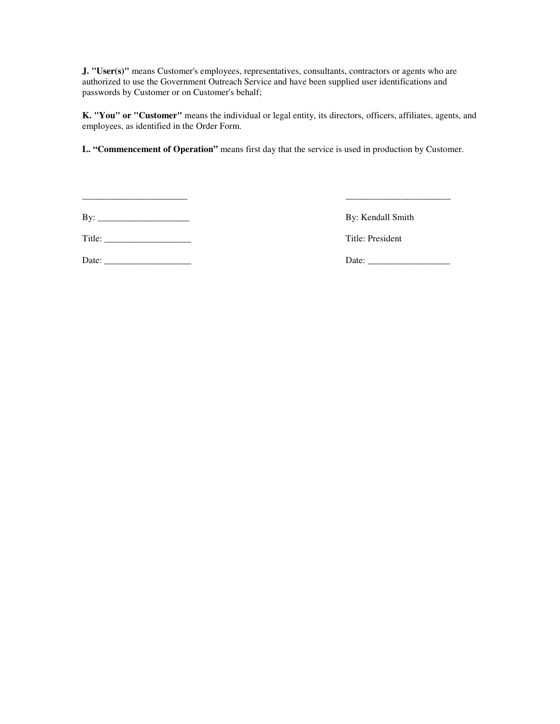**J. "User(s)"** means Customer's employees, representatives, consultants, contractors or agents who are authorized to use the Government Outreach Service and have been supplied user identifications and passwords by Customer or on Customer's behalf;

**K. "You" or "Customer"** means the individual or legal entity, its directors, officers, affiliates, agents, and employees, as identified in the Order Form.

**L. "Commencement of Operation"** means first day that the service is used in production by Customer.

\_\_\_\_\_\_\_\_\_\_\_\_\_\_\_\_\_\_\_\_\_\_\_ \_\_\_\_\_\_\_\_\_\_\_\_\_\_\_\_\_\_\_\_\_\_\_

Title: \_\_\_\_\_\_\_\_\_\_\_\_\_\_\_\_\_\_\_ Title: President

Date: \_\_\_\_\_\_\_\_\_\_\_\_\_\_\_\_\_\_\_ Date: \_\_\_\_\_\_\_\_\_\_\_\_\_\_\_\_\_\_

By: \_\_\_\_\_\_\_\_\_\_\_\_\_\_\_\_\_\_\_\_ By: Kendall Smith